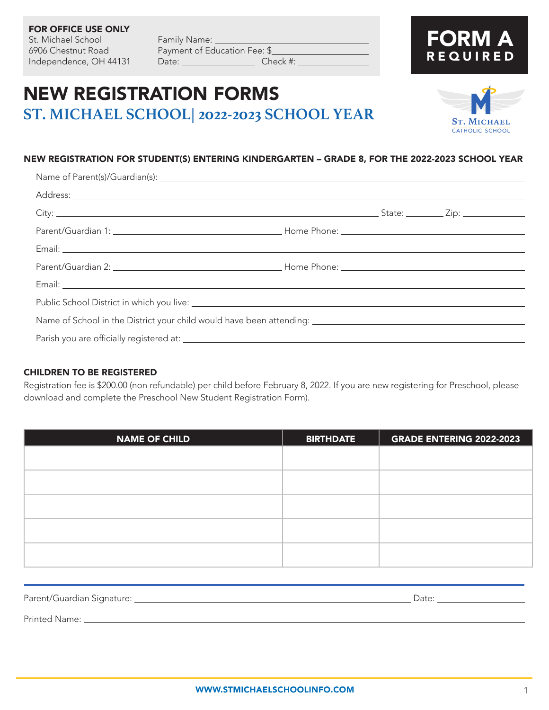# 6906 Chestnut Road Payment of Education Fee: \$ Independence, OH 44131 Date: \_\_\_\_\_\_\_\_\_\_\_\_\_\_\_\_\_\_ Check #: \_

FOR OFFICE USE ONLY

St. Michael School Family Name: \_\_\_\_\_

# NEW REGISTRATION FORMS **ST. MICHAEL SCHOOL| 2022-2023 SCHOOL YEAR**

### NEW REGISTRATION FOR STUDENT(S) ENTERING KINDERGARTEN – GRADE 8, FOR THE 2022-2023 SCHOOL YEAR

| Name of School in the District your child would have been attending: [10] Name of School in the District your child would have been attending: |  |  |  |
|------------------------------------------------------------------------------------------------------------------------------------------------|--|--|--|
|                                                                                                                                                |  |  |  |
|                                                                                                                                                |  |  |  |

#### CHILDREN TO BE REGISTERED

Registration fee is \$200.00 (non refundable) per child before February 8, 2022. If you are new registering for Preschool, please download and complete the Preschool New Student Registration Form).

| <b>NAME OF CHILD</b> | <b>BIRTHDATE</b> | <b>GRADE ENTERING 2022-2023</b> |
|----------------------|------------------|---------------------------------|
|                      |                  |                                 |
|                      |                  |                                 |
|                      |                  |                                 |
|                      |                  |                                 |
|                      |                  |                                 |
|                      |                  |                                 |
|                      |                  |                                 |
|                      |                  |                                 |
|                      |                  |                                 |
|                      |                  |                                 |
|                      |                  |                                 |

| Parent/Guardian Signature: | Date: |
|----------------------------|-------|
| Printed Name:              |       |

**St. Michael** catholic school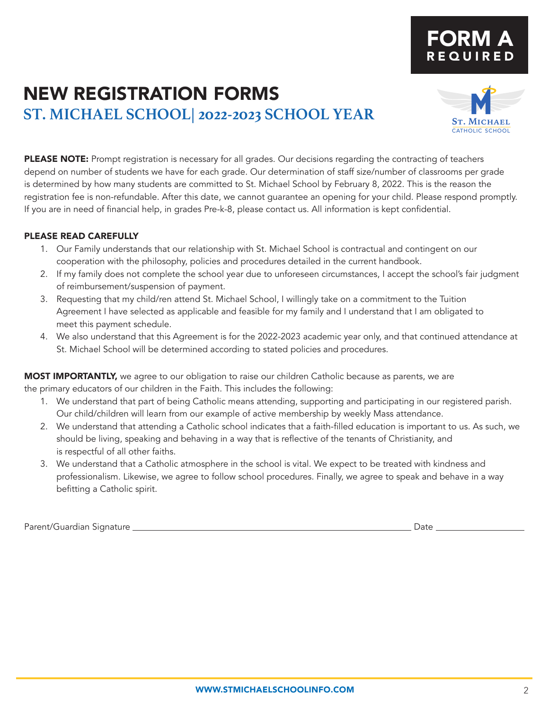# NEW REGISTRATION FORMS **ST. MICHAEL SCHOOL| 2022-2023 SCHOOL YEAR**

PLEASE NOTE: Prompt registration is necessary for all grades. Our decisions regarding the contracting of teachers depend on number of students we have for each grade. Our determination of staff size/number of classrooms per grade is determined by how many students are committed to St. Michael School by February 8, 2022. This is the reason the registration fee is non-refundable. After this date, we cannot guarantee an opening for your child. Please respond promptly. If you are in need of financial help, in grades Pre-k-8, please contact us. All information is kept confidential.

### PLEASE READ CAREFULLY

- 1. Our Family understands that our relationship with St. Michael School is contractual and contingent on our cooperation with the philosophy, policies and procedures detailed in the current handbook.
- 2. If my family does not complete the school year due to unforeseen circumstances, I accept the school's fair judgment of reimbursement/suspension of payment.
- 3. Requesting that my child/ren attend St. Michael School, I willingly take on a commitment to the Tuition Agreement I have selected as applicable and feasible for my family and I understand that I am obligated to meet this payment schedule.
- 4. We also understand that this Agreement is for the 2022-2023 academic year only, and that continued attendance at St. Michael School will be determined according to stated policies and procedures.

MOST IMPORTANTLY, we agree to our obligation to raise our children Catholic because as parents, we are the primary educators of our children in the Faith. This includes the following:

- 1. We understand that part of being Catholic means attending, supporting and participating in our registered parish. Our child/children will learn from our example of active membership by weekly Mass attendance.
- 2. We understand that attending a Catholic school indicates that a faith-filled education is important to us. As such, we should be living, speaking and behaving in a way that is reflective of the tenants of Christianity, and is respectful of all other faiths.
- 3. We understand that a Catholic atmosphere in the school is vital. We expect to be treated with kindness and professionalism. Likewise, we agree to follow school procedures. Finally, we agree to speak and behave in a way befitting a Catholic spirit.

Parent/Guardian Signature Date



FORM A

REQUIRED

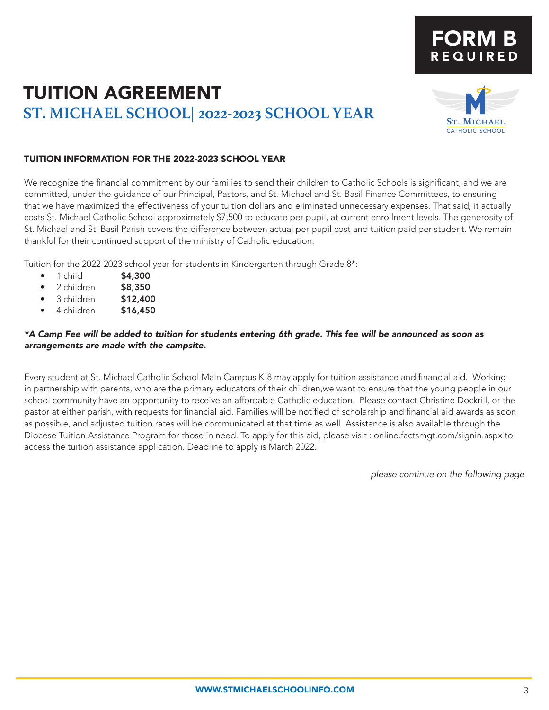# TUITION AGREEMENT **ST. MICHAEL SCHOOL| 2022-2023 SCHOOL YEAR**



FORM B

REQUIRED

### TUITION INFORMATION FOR THE 2022-2023 SCHOOL YEAR

We recognize the financial commitment by our families to send their children to Catholic Schools is significant, and we are committed, under the guidance of our Principal, Pastors, and St. Michael and St. Basil Finance Committees, to ensuring that we have maximized the effectiveness of your tuition dollars and eliminated unnecessary expenses. That said, it actually costs St. Michael Catholic School approximately \$7,500 to educate per pupil, at current enrollment levels. The generosity of St. Michael and St. Basil Parish covers the difference between actual per pupil cost and tuition paid per student. We remain thankful for their continued support of the ministry of Catholic education.

Tuition for the 2022-2023 school year for students in Kindergarten through Grade 8\*:

- 1 child \$4,300
- 2 children \$8,350
- 3 children \$12,400
- 4 children **\$16,450**

### *\*A Camp Fee will be added to tuition for students entering 6th grade. This fee will be announced as soon as arrangements are made with the campsite.*

Every student at St. Michael Catholic School Main Campus K-8 may apply for tuition assistance and financial aid. Working in partnership with parents, who are the primary educators of their children,we want to ensure that the young people in our school community have an opportunity to receive an affordable Catholic education. Please contact Christine Dockrill, or the pastor at either parish, with requests for financial aid. Families will be notified of scholarship and financial aid awards as soon as possible, and adjusted tuition rates will be communicated at that time as well. Assistance is also available through the Diocese Tuition Assistance Program for those in need. To apply for this aid, please visit : online.factsmgt.com/signin.aspx to access the tuition assistance application. Deadline to apply is March 2022.

*please continue on the following page*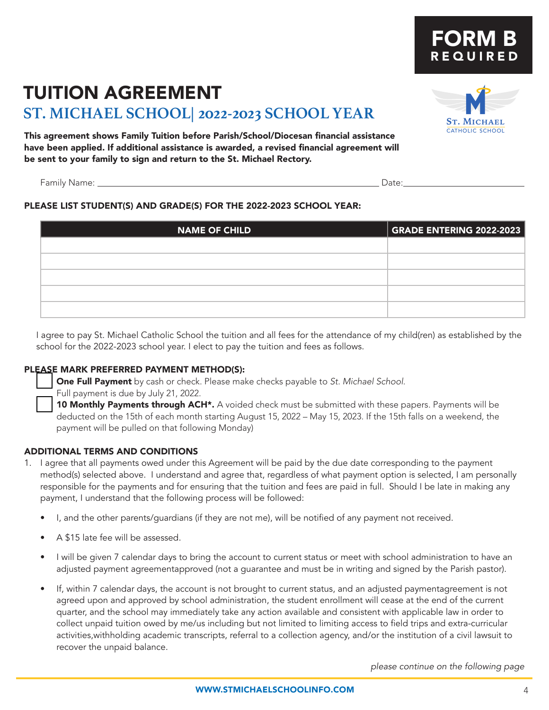# TUITION AGREEMENT

## **ST. MICHAEL SCHOOL| 2022-2023 SCHOOL YEAR**

This agreement shows Family Tuition before Parish/School/Diocesan financial assistance have been applied. If additional assistance is awarded, a revised financial agreement will be sent to your family to sign and return to the St. Michael Rectory.

Family Name: Date:

### PLEASE LIST STUDENT(S) AND GRADE(S) FOR THE 2022-2023 SCHOOL YEAR:

| <b>NAME OF CHILD</b> | <b>GRADE ENTERING 2022-2023</b> |
|----------------------|---------------------------------|
|                      |                                 |
|                      |                                 |
|                      |                                 |
|                      |                                 |
|                      |                                 |

I agree to pay St. Michael Catholic School the tuition and all fees for the attendance of my child(ren) as established by the school for the 2022-2023 school year. I elect to pay the tuition and fees as follows.

### PLEASE MARK PREFERRED PAYMENT METHOD(S):

**One Full Payment** by cash or check. Please make checks payable to *St. Michael School.* Full payment is due by July 21, 2022.

10 Monthly Payments through ACH<sup>\*</sup>. A voided check must be submitted with these papers. Payments will be deducted on the 15th of each month starting August 15, 2022 – May 15, 2023. If the 15th falls on a weekend, the payment will be pulled on that following Monday)

### ADDITIONAL TERMS AND CONDITIONS

- 1. I agree that all payments owed under this Agreement will be paid by the due date corresponding to the payment method(s) selected above. I understand and agree that, regardless of what payment option is selected, I am personally responsible for the payments and for ensuring that the tuition and fees are paid in full. Should I be late in making any payment, I understand that the following process will be followed:
	- I, and the other parents/guardians (if they are not me), will be notified of any payment not received.
	- A \$15 late fee will be assessed.
	- I will be given 7 calendar days to bring the account to current status or meet with school administration to have an adjusted payment agreementapproved (not a guarantee and must be in writing and signed by the Parish pastor).
	- If, within 7 calendar days, the account is not brought to current status, and an adjusted paymentagreement is not agreed upon and approved by school administration, the student enrollment will cease at the end of the current quarter, and the school may immediately take any action available and consistent with applicable law in order to collect unpaid tuition owed by me/us including but not limited to limiting access to field trips and extra-curricular activities,withholding academic transcripts, referral to a collection agency, and/or the institution of a civil lawsuit to recover the unpaid balance.

*please continue on the following page*



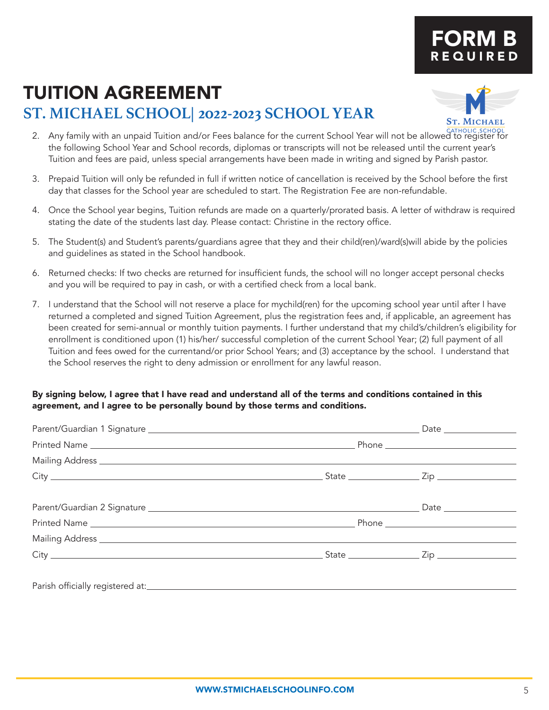# FORM B REQUIRED

# TUITION AGREEMENT

## **ST. MICHAEL SCHOOL| 2022-2023 SCHOOL YEAR**



- catholic school 2. Any family with an unpaid Tuition and/or Fees balance for the current School Year will not be allowed to register for the following School Year and School records, diplomas or transcripts will not be released until the current year's Tuition and fees are paid, unless special arrangements have been made in writing and signed by Parish pastor.
- 3. Prepaid Tuition will only be refunded in full if written notice of cancellation is received by the School before the first day that classes for the School year are scheduled to start. The Registration Fee are non-refundable.
- 4. Once the School year begins, Tuition refunds are made on a quarterly/prorated basis. A letter of withdraw is required stating the date of the students last day. Please contact: Christine in the rectory office.
- 5. The Student(s) and Student's parents/guardians agree that they and their child(ren)/ward(s)will abide by the policies and guidelines as stated in the School handbook.
- 6. Returned checks: If two checks are returned for insufficient funds, the school will no longer accept personal checks and you will be required to pay in cash, or with a certified check from a local bank.
- 7. I understand that the School will not reserve a place for mychild(ren) for the upcoming school year until after I have returned a completed and signed Tuition Agreement, plus the registration fees and, if applicable, an agreement has been created for semi-annual or monthly tuition payments. I further understand that my child's/children's eligibility for enrollment is conditioned upon (1) his/her/ successful completion of the current School Year; (2) full payment of all Tuition and fees owed for the currentand/or prior School Years; and (3) acceptance by the school. I understand that the School reserves the right to deny admission or enrollment for any lawful reason.

### By signing below, I agree that I have read and understand all of the terms and conditions contained in this agreement, and I agree to be personally bound by those terms and conditions.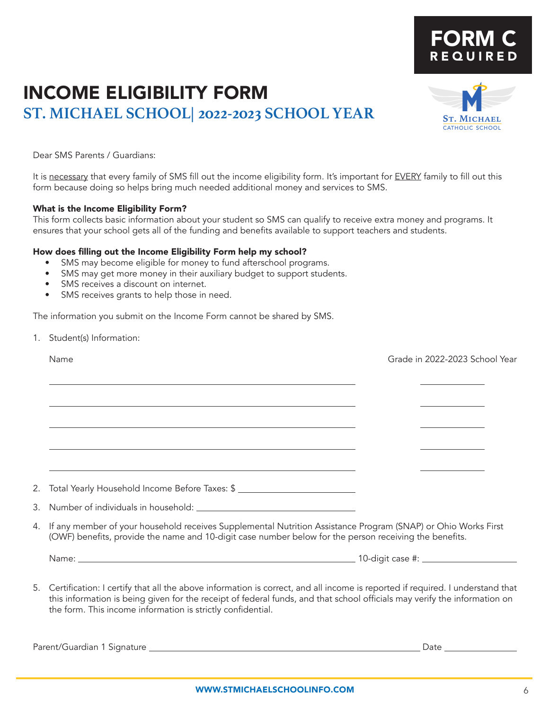# INCOME ELIGIBILITY FORM **ST. MICHAEL SCHOOL| 2022-2023 SCHOOL YEAR**

Dear SMS Parents / Guardians:

It is necessary that every family of SMS fill out the income eligibility form. It's important for EVERY family to fill out this form because doing so helps bring much needed additional money and services to SMS.

#### What is the Income Eligibility Form?

This form collects basic information about your student so SMS can qualify to receive extra money and programs. It ensures that your school gets all of the funding and benefits available to support teachers and students.

#### How does filling out the Income Eligibility Form help my school?

- SMS may become eligible for money to fund afterschool programs.
- SMS may get more money in their auxiliary budget to support students.
- SMS receives a discount on internet.
- SMS receives grants to help those in need.

The information you submit on the Income Form cannot be shared by SMS.

1. Student(s) Information:

 $\overline{a}$ 

 $\overline{a}$ 

| 2. Total Yearly Household Income Before Taxes: \$ _______________________________                                                                                                                                          |  |  |
|----------------------------------------------------------------------------------------------------------------------------------------------------------------------------------------------------------------------------|--|--|
|                                                                                                                                                                                                                            |  |  |
| 4. If any member of your household receives Supplemental Nutrition Assistance Program (SNAP) or Ohio Works First<br>(OWF) benefits, provide the name and 10-digit case number below for the person receiving the benefits. |  |  |
|                                                                                                                                                                                                                            |  |  |

Name Grade in 2022-2023 School Year

5. Certification: I certify that all the above information is correct, and all income is reported if required. I understand that this information is being given for the receipt of federal funds, and that school officials may verify the information on the form. This income information is strictly confidential.

Parent/Guardian 1 Signature Date



FORM C

REQUIRED